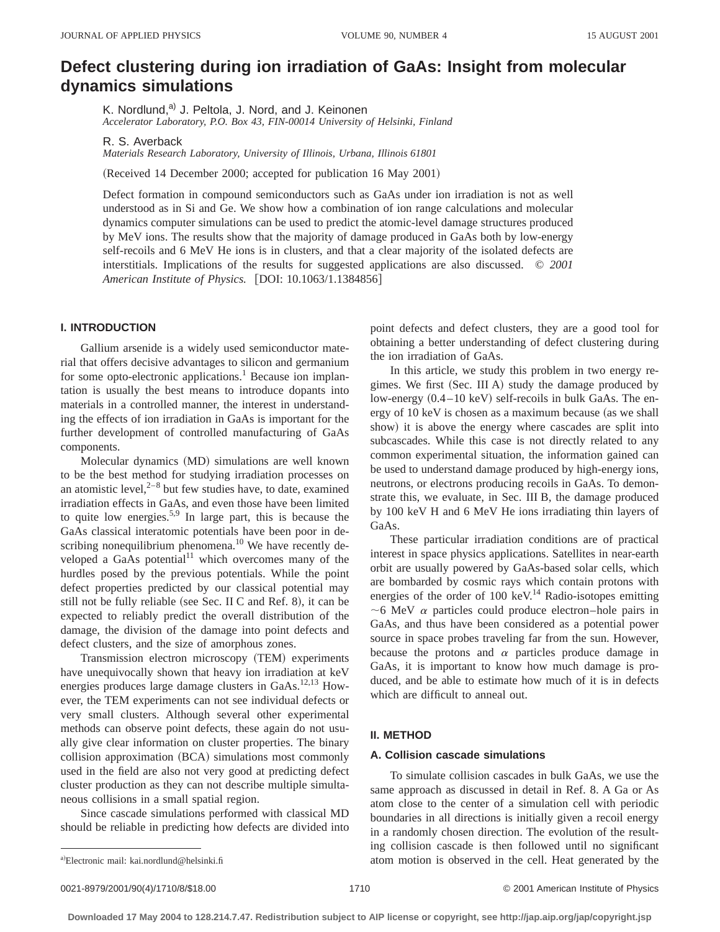# **Defect clustering during ion irradiation of GaAs: Insight from molecular dynamics simulations**

K. Nordlund,<sup>a)</sup> J. Peltola, J. Nord, and J. Keinonen *Accelerator Laboratory, P.O. Box 43, FIN-00014 University of Helsinki, Finland*

R. S. Averback

*Materials Research Laboratory, University of Illinois, Urbana, Illinois 61801*

(Received 14 December 2000; accepted for publication 16 May 2001)

Defect formation in compound semiconductors such as GaAs under ion irradiation is not as well understood as in Si and Ge. We show how a combination of ion range calculations and molecular dynamics computer simulations can be used to predict the atomic-level damage structures produced by MeV ions. The results show that the majority of damage produced in GaAs both by low-energy self-recoils and 6 MeV He ions is in clusters, and that a clear majority of the isolated defects are interstitials. Implications of the results for suggested applications are also discussed. © *2001 American Institute of Physics.* [DOI: 10.1063/1.1384856]

# **I. INTRODUCTION**

Gallium arsenide is a widely used semiconductor material that offers decisive advantages to silicon and germanium for some opto-electronic applications.<sup>1</sup> Because ion implantation is usually the best means to introduce dopants into materials in a controlled manner, the interest in understanding the effects of ion irradiation in GaAs is important for the further development of controlled manufacturing of GaAs components.

Molecular dynamics (MD) simulations are well known to be the best method for studying irradiation processes on an atomistic level, $2^{-8}$  but few studies have, to date, examined irradiation effects in GaAs, and even those have been limited to quite low energies.<sup>5,9</sup> In large part, this is because the GaAs classical interatomic potentials have been poor in describing nonequilibrium phenomena.<sup>10</sup> We have recently developed a GaAs potential<sup>11</sup> which overcomes many of the hurdles posed by the previous potentials. While the point defect properties predicted by our classical potential may still not be fully reliable (see Sec. II C and Ref. 8), it can be expected to reliably predict the overall distribution of the damage, the division of the damage into point defects and defect clusters, and the size of amorphous zones.

Transmission electron microscopy (TEM) experiments have unequivocally shown that heavy ion irradiation at keV energies produces large damage clusters in GaAs.<sup>12,13</sup> However, the TEM experiments can not see individual defects or very small clusters. Although several other experimental methods can observe point defects, these again do not usually give clear information on cluster properties. The binary collision approximation (BCA) simulations most commonly used in the field are also not very good at predicting defect cluster production as they can not describe multiple simultaneous collisions in a small spatial region.

Since cascade simulations performed with classical MD should be reliable in predicting how defects are divided into point defects and defect clusters, they are a good tool for obtaining a better understanding of defect clustering during the ion irradiation of GaAs.

In this article, we study this problem in two energy regimes. We first  $(Sec. III A)$  study the damage produced by low-energy  $(0.4-10 \text{ keV})$  self-recoils in bulk GaAs. The energy of  $10 \text{ keV}$  is chosen as a maximum because (as we shall show) it is above the energy where cascades are split into subcascades. While this case is not directly related to any common experimental situation, the information gained can be used to understand damage produced by high-energy ions, neutrons, or electrons producing recoils in GaAs. To demonstrate this, we evaluate, in Sec. III B, the damage produced by 100 keV H and 6 MeV He ions irradiating thin layers of GaAs.

These particular irradiation conditions are of practical interest in space physics applications. Satellites in near-earth orbit are usually powered by GaAs-based solar cells, which are bombarded by cosmic rays which contain protons with energies of the order of 100 keV.<sup>14</sup> Radio-isotopes emitting  $\sim$ 6 MeV  $\alpha$  particles could produce electron–hole pairs in GaAs, and thus have been considered as a potential power source in space probes traveling far from the sun. However, because the protons and  $\alpha$  particles produce damage in GaAs, it is important to know how much damage is produced, and be able to estimate how much of it is in defects which are difficult to anneal out.

#### **II. METHOD**

#### **A. Collision cascade simulations**

To simulate collision cascades in bulk GaAs, we use the same approach as discussed in detail in Ref. 8. A Ga or As atom close to the center of a simulation cell with periodic boundaries in all directions is initially given a recoil energy in a randomly chosen direction. The evolution of the resulting collision cascade is then followed until no significant atom motion is observed in the cell. Heat generated by the

a)Electronic mail: kai.nordlund@helsinki.fi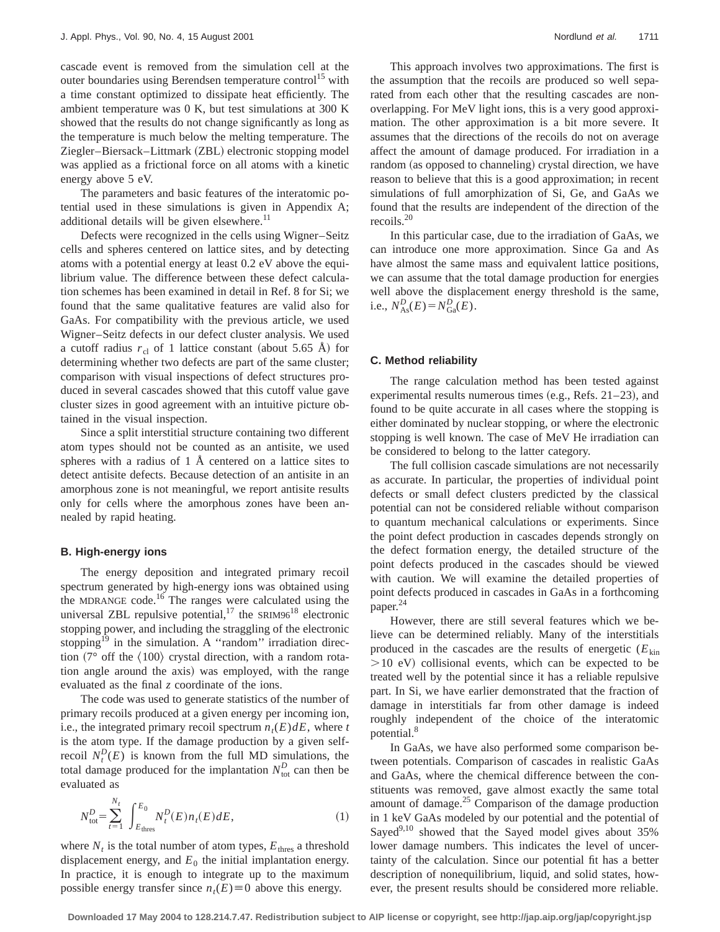cascade event is removed from the simulation cell at the outer boundaries using Berendsen temperature control<sup>15</sup> with a time constant optimized to dissipate heat efficiently. The ambient temperature was 0 K, but test simulations at 300 K showed that the results do not change significantly as long as the temperature is much below the melting temperature. The Ziegler–Biersack–Littmark (ZBL) electronic stopping model was applied as a frictional force on all atoms with a kinetic energy above 5 eV.

The parameters and basic features of the interatomic potential used in these simulations is given in Appendix A; additional details will be given elsewhere.<sup>11</sup>

Defects were recognized in the cells using Wigner–Seitz cells and spheres centered on lattice sites, and by detecting atoms with a potential energy at least 0.2 eV above the equilibrium value. The difference between these defect calculation schemes has been examined in detail in Ref. 8 for Si; we found that the same qualitative features are valid also for GaAs. For compatibility with the previous article, we used Wigner–Seitz defects in our defect cluster analysis. We used a cutoff radius  $r_{\rm cl}$  of 1 lattice constant (about 5.65 Å) for determining whether two defects are part of the same cluster; comparison with visual inspections of defect structures produced in several cascades showed that this cutoff value gave cluster sizes in good agreement with an intuitive picture obtained in the visual inspection.

Since a split interstitial structure containing two different atom types should not be counted as an antisite, we used spheres with a radius of 1 Å centered on a lattice sites to detect antisite defects. Because detection of an antisite in an amorphous zone is not meaningful, we report antisite results only for cells where the amorphous zones have been annealed by rapid heating.

#### **B. High-energy ions**

The energy deposition and integrated primary recoil spectrum generated by high-energy ions was obtained using the MDRANGE code.<sup>16</sup> The ranges were calculated using the universal ZBL repulsive potential,<sup>17</sup> the  $SRIM96^{18}$  electronic stopping power, and including the straggling of the electronic stopping $19$  in the simulation. A "random" irradiation direction (7° off the  $\langle 100 \rangle$  crystal direction, with a random rotation angle around the axis) was employed, with the range evaluated as the final *z* coordinate of the ions.

The code was used to generate statistics of the number of primary recoils produced at a given energy per incoming ion, i.e., the integrated primary recoil spectrum  $n_t(E)dE$ , where *t* is the atom type. If the damage production by a given selfrecoil  $N_t^D(E)$  is known from the full MD simulations, the total damage produced for the implantation  $N_{\text{tot}}^D$  can then be evaluated as

$$
N_{\text{tot}}^D = \sum_{t=1}^{N_t} \int_{E_{\text{thres}}}^{E_0} N_t^D(E) n_t(E) dE, \tag{1}
$$

where  $N_t$  is the total number of atom types,  $E_{thres}$  a threshold displacement energy, and  $E_0$  the initial implantation energy. In practice, it is enough to integrate up to the maximum possible energy transfer since  $n_t(E) \equiv 0$  above this energy.

This approach involves two approximations. The first is the assumption that the recoils are produced so well separated from each other that the resulting cascades are nonoverlapping. For MeV light ions, this is a very good approximation. The other approximation is a bit more severe. It assumes that the directions of the recoils do not on average affect the amount of damage produced. For irradiation in a random (as opposed to channeling) crystal direction, we have reason to believe that this is a good approximation; in recent simulations of full amorphization of Si, Ge, and GaAs we found that the results are independent of the direction of the recoils.20

In this particular case, due to the irradiation of GaAs, we can introduce one more approximation. Since Ga and As have almost the same mass and equivalent lattice positions, we can assume that the total damage production for energies well above the displacement energy threshold is the same, i.e.,  $N_{\text{As}}^D(E) = N_{\text{Ga}}^D(E)$ .

# **C. Method reliability**

The range calculation method has been tested against experimental results numerous times (e.g., Refs.  $21-23$ ), and found to be quite accurate in all cases where the stopping is either dominated by nuclear stopping, or where the electronic stopping is well known. The case of MeV He irradiation can be considered to belong to the latter category.

The full collision cascade simulations are not necessarily as accurate. In particular, the properties of individual point defects or small defect clusters predicted by the classical potential can not be considered reliable without comparison to quantum mechanical calculations or experiments. Since the point defect production in cascades depends strongly on the defect formation energy, the detailed structure of the point defects produced in the cascades should be viewed with caution. We will examine the detailed properties of point defects produced in cascades in GaAs in a forthcoming paper.<sup>24</sup>

However, there are still several features which we believe can be determined reliably. Many of the interstitials produced in the cascades are the results of energetic  $(E_{kin})$  $>10$  eV) collisional events, which can be expected to be treated well by the potential since it has a reliable repulsive part. In Si, we have earlier demonstrated that the fraction of damage in interstitials far from other damage is indeed roughly independent of the choice of the interatomic potential.<sup>8</sup>

In GaAs, we have also performed some comparison between potentials. Comparison of cascades in realistic GaAs and GaAs, where the chemical difference between the constituents was removed, gave almost exactly the same total amount of damage. $25$  Comparison of the damage production in 1 keV GaAs modeled by our potential and the potential of Sayed $9,10$  showed that the Sayed model gives about 35% lower damage numbers. This indicates the level of uncertainty of the calculation. Since our potential fit has a better description of nonequilibrium, liquid, and solid states, however, the present results should be considered more reliable.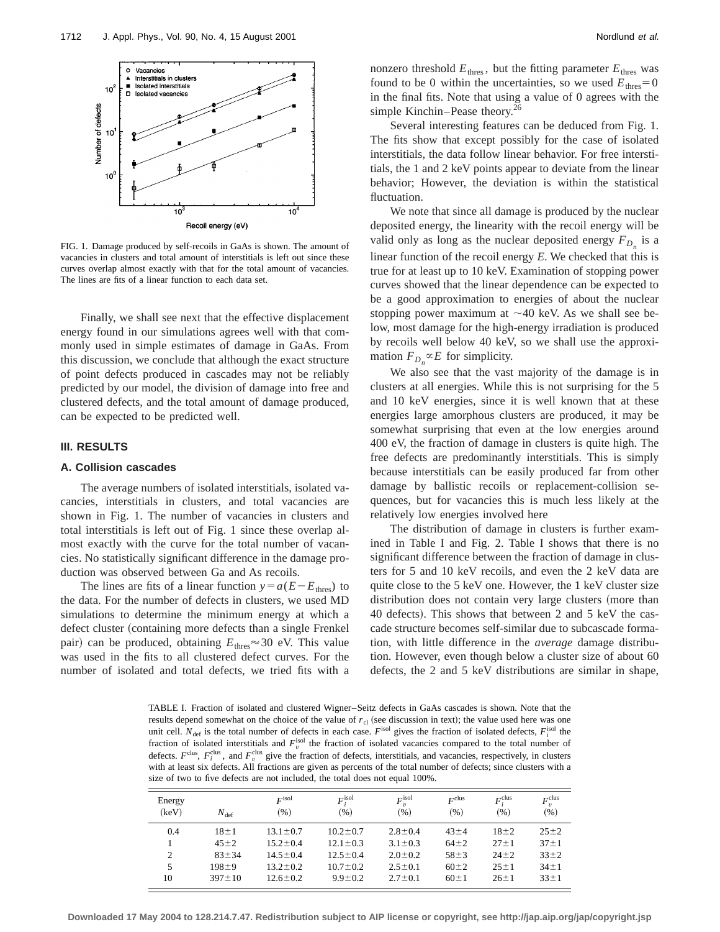

FIG. 1. Damage produced by self-recoils in GaAs is shown. The amount of vacancies in clusters and total amount of interstitials is left out since these curves overlap almost exactly with that for the total amount of vacancies. The lines are fits of a linear function to each data set.

Finally, we shall see next that the effective displacement energy found in our simulations agrees well with that commonly used in simple estimates of damage in GaAs. From this discussion, we conclude that although the exact structure of point defects produced in cascades may not be reliably predicted by our model, the division of damage into free and clustered defects, and the total amount of damage produced, can be expected to be predicted well.

## **III. RESULTS**

#### **A. Collision cascades**

The average numbers of isolated interstitials, isolated vacancies, interstitials in clusters, and total vacancies are shown in Fig. 1. The number of vacancies in clusters and total interstitials is left out of Fig. 1 since these overlap almost exactly with the curve for the total number of vacancies. No statistically significant difference in the damage production was observed between Ga and As recoils.

The lines are fits of a linear function  $y = a(E - E<sub>thres</sub>)$  to the data. For the number of defects in clusters, we used MD simulations to determine the minimum energy at which a defect cluster (containing more defects than a single Frenkel pair) can be produced, obtaining  $E_{\text{thres}} \approx 30$  eV. This value was used in the fits to all clustered defect curves. For the number of isolated and total defects, we tried fits with a nonzero threshold  $E_{\text{thres}}$ , but the fitting parameter  $E_{\text{thres}}$  was found to be 0 within the uncertainties, so we used  $E_{\text{thres}}=0$ in the final fits. Note that using a value of 0 agrees with the simple Kinchin–Pease theory.<sup>26</sup>

Several interesting features can be deduced from Fig. 1. The fits show that except possibly for the case of isolated interstitials, the data follow linear behavior. For free interstitials, the 1 and 2 keV points appear to deviate from the linear behavior; However, the deviation is within the statistical fluctuation.

We note that since all damage is produced by the nuclear deposited energy, the linearity with the recoil energy will be valid only as long as the nuclear deposited energy  $F<sub>D</sub>$  is a linear function of the recoil energy *E*. We checked that this is true for at least up to 10 keV. Examination of stopping power curves showed that the linear dependence can be expected to be a good approximation to energies of about the nuclear stopping power maximum at  $\sim$ 40 keV. As we shall see below, most damage for the high-energy irradiation is produced by recoils well below 40 keV, so we shall use the approximation  $F_{D_n} \propto E$  for simplicity.

We also see that the vast majority of the damage is in clusters at all energies. While this is not surprising for the 5 and 10 keV energies, since it is well known that at these energies large amorphous clusters are produced, it may be somewhat surprising that even at the low energies around 400 eV, the fraction of damage in clusters is quite high. The free defects are predominantly interstitials. This is simply because interstitials can be easily produced far from other damage by ballistic recoils or replacement-collision sequences, but for vacancies this is much less likely at the relatively low energies involved here

The distribution of damage in clusters is further examined in Table I and Fig. 2. Table I shows that there is no significant difference between the fraction of damage in clusters for 5 and 10 keV recoils, and even the 2 keV data are quite close to the 5 keV one. However, the 1 keV cluster size distribution does not contain very large clusters (more than 40 defects). This shows that between 2 and 5 keV the cascade structure becomes self-similar due to subcascade formation, with little difference in the *average* damage distribution. However, even though below a cluster size of about 60 defects, the 2 and 5 keV distributions are similar in shape,

TABLE I. Fraction of isolated and clustered Wigner–Seitz defects in GaAs cascades is shown. Note that the results depend somewhat on the choice of the value of *r*<sub>cl</sub> (see discussion in text); the value used here was one unit cell.  $N_{\text{def}}$  is the total number of defects in each case.  $F^{\text{isol}}$  gives the fraction of isolated defects,  $F^{\text{isol}}_i$  the fraction of isolated interstitials and  $F_v^{isol}$  the fraction of isolated vacancies compared to the total number of defects.  $F^{\text{clus}}$ ,  $F^{\text{clus}}_i$ , and  $F^{\text{clus}}_v$  give the fraction of defects, interstitials, and vacancies, respectively, in clusters with at least six defects. All fractions are given as percents of the total number of defects; since clusters with a size of two to five defects are not included, the total does not equal 100%.

| Energy<br>(keV) | $N_{\text{def}}$ | $\boldsymbol{F}$ isol<br>$(\% )$ | $F^{\mathrm{isol}}$<br>(% ) | $F^{\rm isol}$<br>$(\% )$ | $\mathbf{F}$ clus<br>$(\% )$ | F <sup>clus</sup><br>(%) | $F_{\cdot}^{\text{clus}}$<br>(% ) |
|-----------------|------------------|----------------------------------|-----------------------------|---------------------------|------------------------------|--------------------------|-----------------------------------|
| 0.4             | $18 \pm 1$       | $13.1 + 0.7$                     | $10.2 \pm 0.7$              | $2.8 \pm 0.4$             | $43 + 4$                     | $18 + 2$                 | $25 \pm 2$                        |
|                 | $45 \pm 2$       | $15.2 \pm 0.4$                   | $12.1 \pm 0.3$              | $3.1 \pm 0.3$             | $64 \pm 2$                   | $27 \pm 1$               | $37 + 1$                          |
| 2               | $83 + 34$        | $14.5 \pm 0.4$                   | $12.5 \pm 0.4$              | $2.0 \pm 0.2$             | $58 + 3$                     | $24 \pm 2$               | $33 \pm 2$                        |
| 5               | $198 + 9$        | $13.2 \pm 0.2$                   | $10.7 \pm 0.2$              | $2.5 \pm 0.1$             | $60 \pm 2$                   | $25 \pm 1$               | $34 \pm 1$                        |
| 10              | $397 \pm 10$     | $12.6 \pm 0.2$                   | $9.9 \pm 0.2$               | $2.7 \pm 0.1$             | $60 \pm 1$                   | $26 \pm 1$               | $33 \pm 1$                        |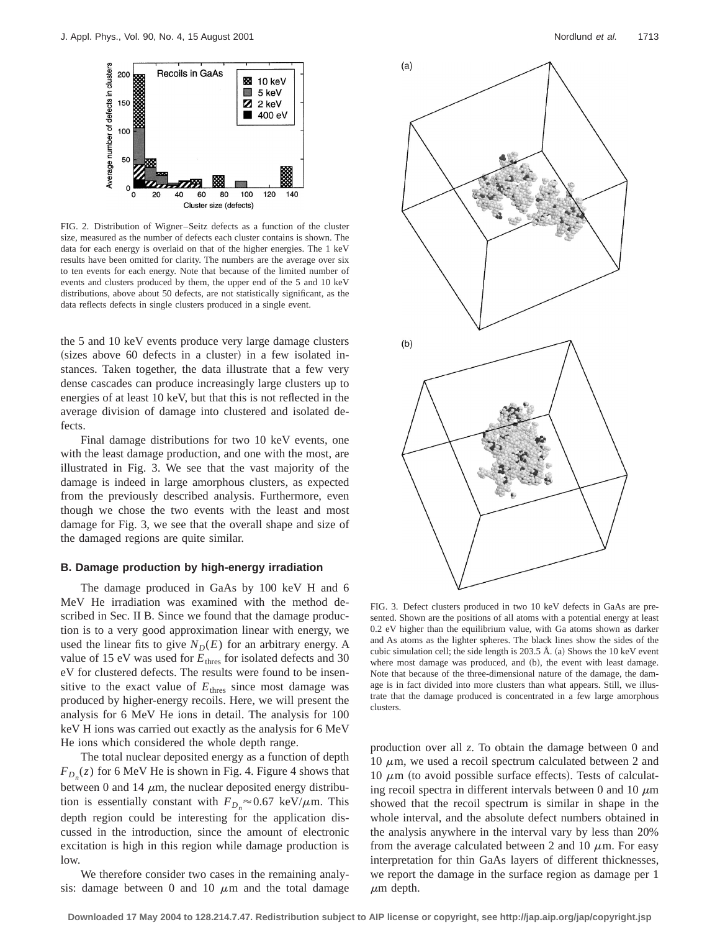

FIG. 2. Distribution of Wigner–Seitz defects as a function of the cluster size, measured as the number of defects each cluster contains is shown. The data for each energy is overlaid on that of the higher energies. The 1 keV results have been omitted for clarity. The numbers are the average over six to ten events for each energy. Note that because of the limited number of events and clusters produced by them, the upper end of the 5 and 10 keV distributions, above about 50 defects, are not statistically significant, as the data reflects defects in single clusters produced in a single event.

the 5 and 10 keV events produce very large damage clusters  $(sizes above 60 defects in a cluster) in a few isolated in$ stances. Taken together, the data illustrate that a few very dense cascades can produce increasingly large clusters up to energies of at least 10 keV, but that this is not reflected in the average division of damage into clustered and isolated defects.

Final damage distributions for two 10 keV events, one with the least damage production, and one with the most, are illustrated in Fig. 3. We see that the vast majority of the damage is indeed in large amorphous clusters, as expected from the previously described analysis. Furthermore, even though we chose the two events with the least and most damage for Fig. 3, we see that the overall shape and size of the damaged regions are quite similar.

## **B. Damage production by high-energy irradiation**

The damage produced in GaAs by 100 keV H and 6 MeV He irradiation was examined with the method described in Sec. II B. Since we found that the damage production is to a very good approximation linear with energy, we used the linear fits to give  $N_D(E)$  for an arbitrary energy. A value of 15 eV was used for  $E_{\text{thres}}$  for isolated defects and 30 eV for clustered defects. The results were found to be insensitive to the exact value of  $E_{\text{thres}}$  since most damage was produced by higher-energy recoils. Here, we will present the analysis for 6 MeV He ions in detail. The analysis for 100 keV H ions was carried out exactly as the analysis for 6 MeV He ions which considered the whole depth range.

The total nuclear deposited energy as a function of depth  $F_{D_n}(z)$  for 6 MeV He is shown in Fig. 4. Figure 4 shows that between 0 and 14  $\mu$ m, the nuclear deposited energy distribution is essentially constant with  $F_{D_n} \approx 0.67 \text{ keV}/\mu \text{m}$ . This depth region could be interesting for the application discussed in the introduction, since the amount of electronic excitation is high in this region while damage production is low.

We therefore consider two cases in the remaining analysis: damage between 0 and 10  $\mu$ m and the total damage



FIG. 3. Defect clusters produced in two 10 keV defects in GaAs are presented. Shown are the positions of all atoms with a potential energy at least 0.2 eV higher than the equilibrium value, with Ga atoms shown as darker and As atoms as the lighter spheres. The black lines show the sides of the cubic simulation cell; the side length is 203.5 Å. (a) Shows the 10 keV event where most damage was produced, and (b), the event with least damage. Note that because of the three-dimensional nature of the damage, the damage is in fact divided into more clusters than what appears. Still, we illustrate that the damage produced is concentrated in a few large amorphous clusters.

production over all *z*. To obtain the damage between 0 and 10  $\mu$ m, we used a recoil spectrum calculated between 2 and 10  $\mu$ m (to avoid possible surface effects). Tests of calculating recoil spectra in different intervals between 0 and 10  $\mu$ m showed that the recoil spectrum is similar in shape in the whole interval, and the absolute defect numbers obtained in the analysis anywhere in the interval vary by less than 20% from the average calculated between 2 and 10  $\mu$ m. For easy interpretation for thin GaAs layers of different thicknesses, we report the damage in the surface region as damage per 1  $\mu$ m depth.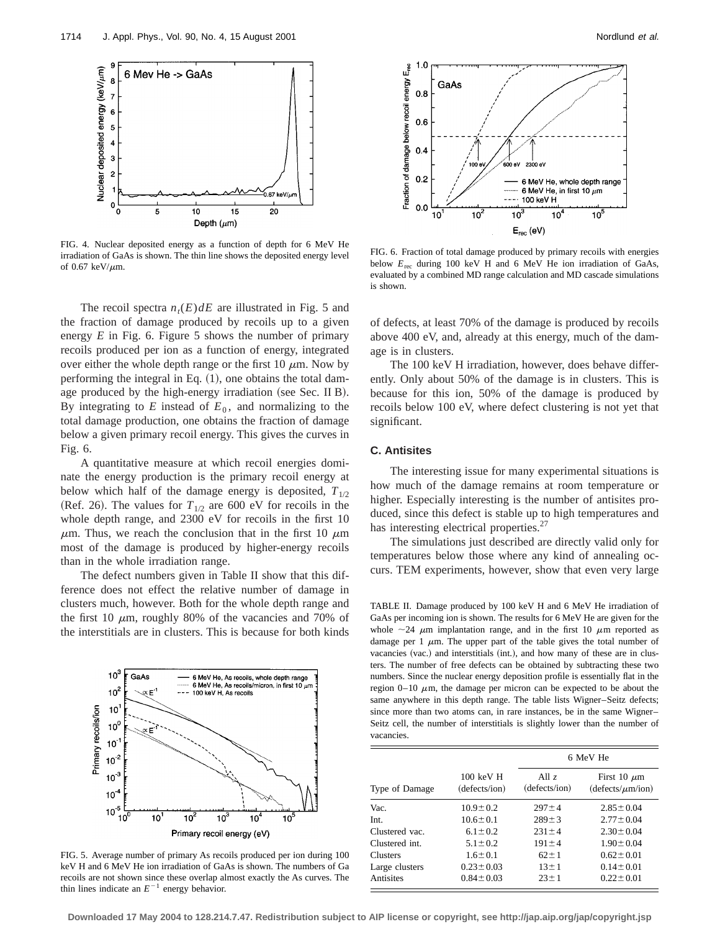

FIG. 4. Nuclear deposited energy as a function of depth for 6 MeV He irradiation of GaAs is shown. The thin line shows the deposited energy level of 0.67 keV/ $\mu$ m.

The recoil spectra  $n_t(E)dE$  are illustrated in Fig. 5 and the fraction of damage produced by recoils up to a given energy *E* in Fig. 6. Figure 5 shows the number of primary recoils produced per ion as a function of energy, integrated over either the whole depth range or the first 10  $\mu$ m. Now by performing the integral in Eq.  $(1)$ , one obtains the total damage produced by the high-energy irradiation (see Sec. II B). By integrating to  $E$  instead of  $E_0$ , and normalizing to the total damage production, one obtains the fraction of damage below a given primary recoil energy. This gives the curves in Fig. 6.

A quantitative measure at which recoil energies dominate the energy production is the primary recoil energy at below which half of the damage energy is deposited,  $T_{1/2}$ (Ref. 26). The values for  $T_{1/2}$  are 600 eV for recoils in the whole depth range, and 2300 eV for recoils in the first 10  $\mu$ m. Thus, we reach the conclusion that in the first 10  $\mu$ m most of the damage is produced by higher-energy recoils than in the whole irradiation range.

The defect numbers given in Table II show that this difference does not effect the relative number of damage in clusters much, however. Both for the whole depth range and the first 10  $\mu$ m, roughly 80% of the vacancies and 70% of the interstitials are in clusters. This is because for both kinds



FIG. 5. Average number of primary As recoils produced per ion during 100 keV H and 6 MeV He ion irradiation of GaAs is shown. The numbers of Ga recoils are not shown since these overlap almost exactly the As curves. The thin lines indicate an  $E^{-1}$  energy behavior.



FIG. 6. Fraction of total damage produced by primary recoils with energies below  $E_{\text{rec}}$  during 100 keV H and 6 MeV He ion irradiation of GaAs, evaluated by a combined MD range calculation and MD cascade simulations is shown.

of defects, at least 70% of the damage is produced by recoils above 400 eV, and, already at this energy, much of the damage is in clusters.

The 100 keV H irradiation, however, does behave differently. Only about 50% of the damage is in clusters. This is because for this ion, 50% of the damage is produced by recoils below 100 eV, where defect clustering is not yet that significant.

# **C. Antisites**

The interesting issue for many experimental situations is how much of the damage remains at room temperature or higher. Especially interesting is the number of antisites produced, since this defect is stable up to high temperatures and has interesting electrical properties. $27$ 

The simulations just described are directly valid only for temperatures below those where any kind of annealing occurs. TEM experiments, however, show that even very large

TABLE II. Damage produced by 100 keV H and 6 MeV He irradiation of GaAs per incoming ion is shown. The results for 6 MeV He are given for the whole  $\sim$ 24  $\mu$ m implantation range, and in the first 10  $\mu$ m reported as damage per 1  $\mu$ m. The upper part of the table gives the total number of vacancies (vac.) and interstitials (int.), and how many of these are in clusters. The number of free defects can be obtained by subtracting these two numbers. Since the nuclear energy deposition profile is essentially flat in the region  $0-10 \mu m$ , the damage per micron can be expected to be about the same anywhere in this depth range. The table lists Wigner–Seitz defects; since more than two atoms can, in rare instances, be in the same Wigner– Seitz cell, the number of interstitials is slightly lower than the number of vacancies.

|                 |                                      | 6 MeV He                 |                                                               |  |
|-----------------|--------------------------------------|--------------------------|---------------------------------------------------------------|--|
| Type of Damage  | $100 \text{ keV H}$<br>(defects/ion) | All $z$<br>(defects/ion) | First 10 $\mu$ m<br>$(\text{defects}/\mu\text{m}/\text{ion})$ |  |
| Vac.            | $10.9 \pm 0.2$                       | $297 \pm 4$              | $2.85 \pm 0.04$                                               |  |
| Int.            | $10.6 \pm 0.1$                       | $289 \pm 3$              | $2.77 \pm 0.04$                                               |  |
| Clustered vac.  | $6.1 \pm 0.2$                        | $231 + 4$                | $2.30 \pm 0.04$                                               |  |
| Clustered int.  | $5.1 \pm 0.2$                        | $191 \pm 4$              | $1.90 \pm 0.04$                                               |  |
| <b>Clusters</b> | $1.6 \pm 0.1$                        | $62 \pm 1$               | $0.62 \pm 0.01$                                               |  |
| Large clusters  | $0.23 \pm 0.03$                      | $13 \pm 1$               | $0.14 \pm 0.01$                                               |  |
| Antisites       | $0.84 \pm 0.03$                      | $23 \pm 1$               | $0.22 \pm 0.01$                                               |  |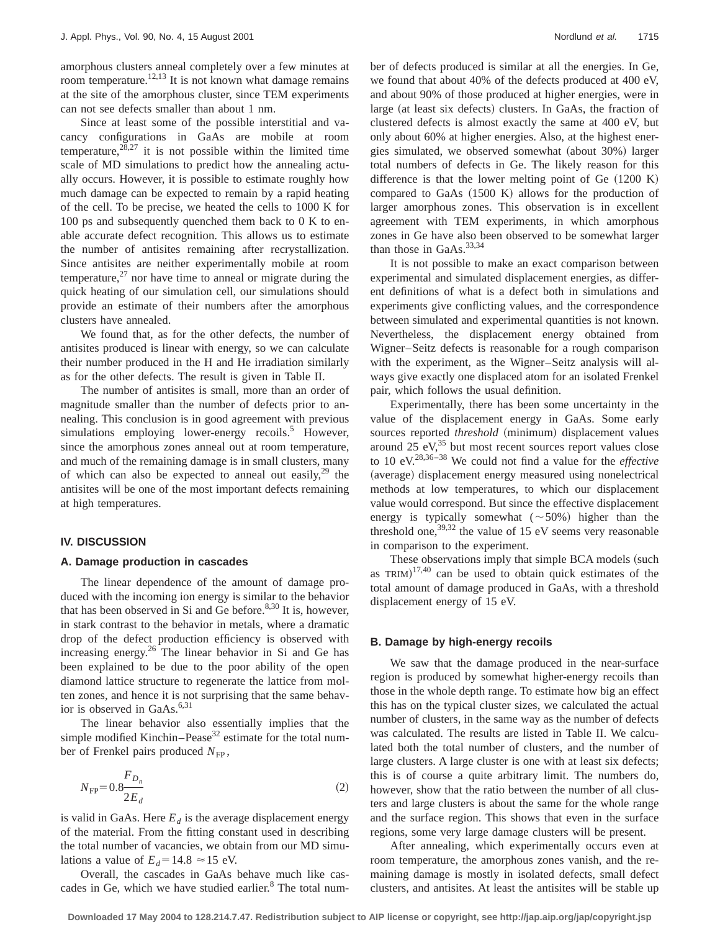amorphous clusters anneal completely over a few minutes at room temperature.<sup>12,13</sup> It is not known what damage remains at the site of the amorphous cluster, since TEM experiments can not see defects smaller than about 1 nm.

Since at least some of the possible interstitial and vacancy configurations in GaAs are mobile at room temperature,  $28,27$  it is not possible within the limited time scale of MD simulations to predict how the annealing actually occurs. However, it is possible to estimate roughly how much damage can be expected to remain by a rapid heating of the cell. To be precise, we heated the cells to 1000 K for 100 ps and subsequently quenched them back to 0 K to enable accurate defect recognition. This allows us to estimate the number of antisites remaining after recrystallization. Since antisites are neither experimentally mobile at room temperature, $^{27}$  nor have time to anneal or migrate during the quick heating of our simulation cell, our simulations should provide an estimate of their numbers after the amorphous clusters have annealed.

We found that, as for the other defects, the number of antisites produced is linear with energy, so we can calculate their number produced in the H and He irradiation similarly as for the other defects. The result is given in Table II.

The number of antisites is small, more than an order of magnitude smaller than the number of defects prior to annealing. This conclusion is in good agreement with previous simulations employing lower-energy recoils.<sup>5</sup> However, since the amorphous zones anneal out at room temperature, and much of the remaining damage is in small clusters, many of which can also be expected to anneal out easily,  $29$  the antisites will be one of the most important defects remaining at high temperatures.

## **IV. DISCUSSION**

## **A. Damage production in cascades**

The linear dependence of the amount of damage produced with the incoming ion energy is similar to the behavior that has been observed in Si and Ge before. $8,30$  It is, however, in stark contrast to the behavior in metals, where a dramatic drop of the defect production efficiency is observed with increasing energy.26 The linear behavior in Si and Ge has been explained to be due to the poor ability of the open diamond lattice structure to regenerate the lattice from molten zones, and hence it is not surprising that the same behavior is observed in GaAs.<sup>6,31</sup>

The linear behavior also essentially implies that the simple modified Kinchin–Pease $32$  estimate for the total number of Frenkel pairs produced  $N_{\text{FP}}$ ,

$$
N_{\rm FP} = 0.8 \frac{F_{D_n}}{2E_d} \tag{2}
$$

is valid in GaAs. Here  $E_d$  is the average displacement energy of the material. From the fitting constant used in describing the total number of vacancies, we obtain from our MD simulations a value of  $E_d$ =14.8  $\approx$ 15 eV.

Overall, the cascades in GaAs behave much like cascades in Ge, which we have studied earlier. $8$  The total number of defects produced is similar at all the energies. In Ge, we found that about 40% of the defects produced at 400 eV, and about 90% of those produced at higher energies, were in large (at least six defects) clusters. In GaAs, the fraction of clustered defects is almost exactly the same at 400 eV, but only about 60% at higher energies. Also, at the highest energies simulated, we observed somewhat (about 30%) larger total numbers of defects in Ge. The likely reason for this difference is that the lower melting point of Ge  $(1200 K)$ compared to GaAs  $(1500 \text{ K})$  allows for the production of larger amorphous zones. This observation is in excellent agreement with TEM experiments, in which amorphous zones in Ge have also been observed to be somewhat larger than those in GaAs.<sup>33,34</sup>

It is not possible to make an exact comparison between experimental and simulated displacement energies, as different definitions of what is a defect both in simulations and experiments give conflicting values, and the correspondence between simulated and experimental quantities is not known. Nevertheless, the displacement energy obtained from Wigner–Seitz defects is reasonable for a rough comparison with the experiment, as the Wigner–Seitz analysis will always give exactly one displaced atom for an isolated Frenkel pair, which follows the usual definition.

Experimentally, there has been some uncertainty in the value of the displacement energy in GaAs. Some early sources reported *threshold* (minimum) displacement values around  $25 eV<sub>1</sub><sup>35</sup>$  but most recent sources report values close to 10 eV.28,36–38 We could not find a value for the *effective* (average) displacement energy measured using nonelectrical methods at low temperatures, to which our displacement value would correspond. But since the effective displacement energy is typically somewhat  $({\sim}50%)$  higher than the threshold one,  $39,32$  the value of 15 eV seems very reasonable in comparison to the experiment.

These observations imply that simple BCA models (such as  $TRIM)^{17,40}$  can be used to obtain quick estimates of the total amount of damage produced in GaAs, with a threshold displacement energy of 15 eV.

## **B. Damage by high-energy recoils**

We saw that the damage produced in the near-surface region is produced by somewhat higher-energy recoils than those in the whole depth range. To estimate how big an effect this has on the typical cluster sizes, we calculated the actual number of clusters, in the same way as the number of defects was calculated. The results are listed in Table II. We calculated both the total number of clusters, and the number of large clusters. A large cluster is one with at least six defects; this is of course a quite arbitrary limit. The numbers do, however, show that the ratio between the number of all clusters and large clusters is about the same for the whole range and the surface region. This shows that even in the surface regions, some very large damage clusters will be present.

After annealing, which experimentally occurs even at room temperature, the amorphous zones vanish, and the remaining damage is mostly in isolated defects, small defect clusters, and antisites. At least the antisites will be stable up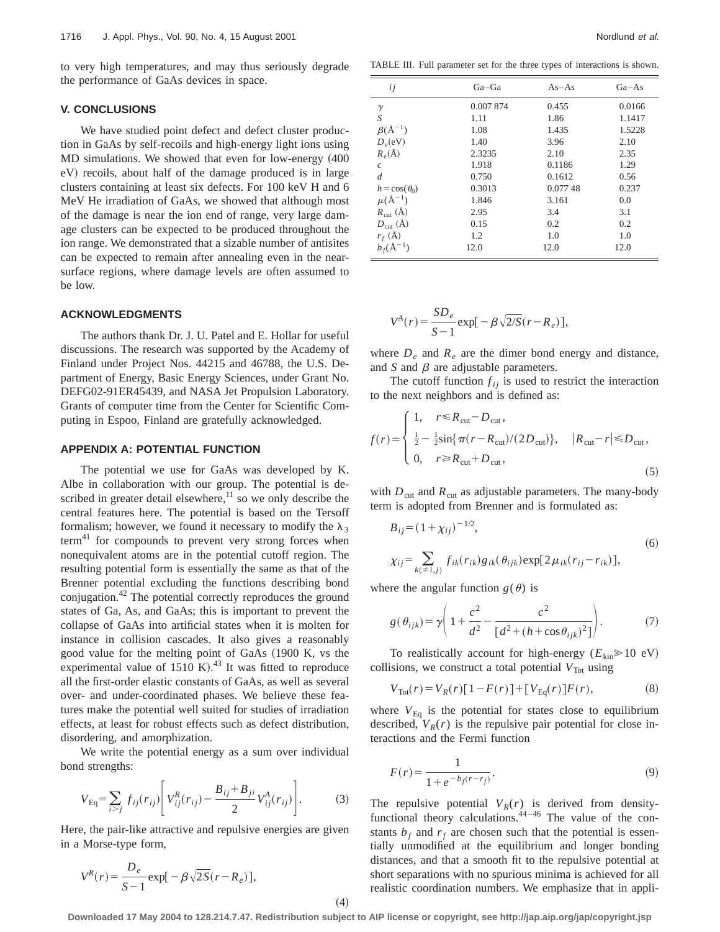to very high temperatures, and may thus seriously degrade the performance of GaAs devices in space.

# **V. CONCLUSIONS**

We have studied point defect and defect cluster production in GaAs by self-recoils and high-energy light ions using  $MD$  simulations. We showed that even for low-energy  $(400$ eV) recoils, about half of the damage produced is in large clusters containing at least six defects. For 100 keV H and 6 MeV He irradiation of GaAs, we showed that although most of the damage is near the ion end of range, very large damage clusters can be expected to be produced throughout the ion range. We demonstrated that a sizable number of antisites can be expected to remain after annealing even in the nearsurface regions, where damage levels are often assumed to be low.

## **ACKNOWLEDGMENTS**

The authors thank Dr. J. U. Patel and E. Hollar for useful discussions. The research was supported by the Academy of Finland under Project Nos. 44215 and 46788, the U.S. Department of Energy, Basic Energy Sciences, under Grant No. DEFG02-91ER45439, and NASA Jet Propulsion Laboratory. Grants of computer time from the Center for Scientific Computing in Espoo, Finland are gratefully acknowledged.

## **APPENDIX A: POTENTIAL FUNCTION**

The potential we use for GaAs was developed by K. Albe in collaboration with our group. The potential is described in greater detail elsewhere, $11$  so we only describe the central features here. The potential is based on the Tersoff formalism; however, we found it necessary to modify the  $\lambda_3$  $term<sup>41</sup>$  for compounds to prevent very strong forces when nonequivalent atoms are in the potential cutoff region. The resulting potential form is essentially the same as that of the Brenner potential excluding the functions describing bond conjugation.42 The potential correctly reproduces the ground states of Ga, As, and GaAs; this is important to prevent the collapse of GaAs into artificial states when it is molten for instance in collision cascades. It also gives a reasonably good value for the melting point of GaAs (1900 K, vs the experimental value of 1510 K). $43$  It was fitted to reproduce all the first-order elastic constants of GaAs, as well as several over- and under-coordinated phases. We believe these features make the potential well suited for studies of irradiation effects, at least for robust effects such as defect distribution, disordering, and amorphization.

We write the potential energy as a sum over individual bond strengths:

$$
V_{\text{Eq}} = \sum_{i > j} f_{ij}(r_{ij}) \left[ V_{ij}^R(r_{ij}) - \frac{B_{ij} + B_{ji}}{2} V_{ij}^A(r_{ij}) \right]. \tag{3}
$$

Here, the pair-like attractive and repulsive energies are given in a Morse-type form,

$$
V^{R}(r) = \frac{D_e}{S-1} \exp[-\beta \sqrt{2S}(r - R_e)],
$$

TABLE III. Full parameter set for the three types of interactions is shown.

| ij                           | Ga-Ga     | $As-As$ | $Ga-As$ |
|------------------------------|-----------|---------|---------|
| $\gamma$                     | 0.007 874 | 0.455   | 0.0166  |
| S                            | 1.11      | 1.86    | 1.1417  |
| $\beta(\AA^{-1})$            | 1.08      | 1.435   | 1.5228  |
| $D_e$ (eV)                   | 1.40      | 3.96    | 2.10    |
| $R_e(\AA)$                   | 2.3235    | 2.10    | 2.35    |
| $\mathcal{C}$                | 1.918     | 0.1186  | 1.29    |
| d                            | 0.750     | 0.1612  | 0.56    |
| $h = \cos(\theta_0)$         | 0.3013    | 0.07748 | 0.237   |
| $\mu(\AA^{-1})$              | 1.846     | 3.161   | 0.0     |
| $R_{\text{cut}}(\text{\AA})$ | 2.95      | 3.4     | 3.1     |
| $D_{\text{cut}}(\text{\AA})$ | 0.15      | 0.2     | 0.2     |
| $r_f(\text{\AA})$            | 1.2       | 1.0     | 1.0     |
| $b_f(A^{-1})$                | 12.0      | 12.0    | 12.0    |

$$
V^{A}(r) = \frac{SD_e}{S-1} \exp[-\beta \sqrt{2/S} (r - R_e)],
$$

where  $D_e$  and  $R_e$  are the dimer bond energy and distance, and  $S$  and  $\beta$  are adjustable parameters.

The cutoff function  $f_{ij}$  is used to restrict the interaction to the next neighbors and is defined as:

$$
f(r) = \begin{cases} 1, & r \le R_{\text{cut}} - D_{\text{cut}}, \\ \frac{1}{2} - \frac{1}{2} \sin{\{\pi (r - R_{\text{cut}})/(2D_{\text{cut}})\}}, & |R_{\text{cut}} - r| \le D_{\text{cut}}, \\ 0, & r \ge R_{\text{cut}} + D_{\text{cut}}, \end{cases}
$$
(5)

with  $D_{\text{cut}}$  and  $R_{\text{cut}}$  as adjustable parameters. The many-body term is adopted from Brenner and is formulated as:

$$
B_{ij} = (1 + \chi_{ij})^{-1/2},
$$
  
\n
$$
\chi_{ij} = \sum_{k(\neq i,j)} f_{ik}(r_{ik}) g_{ik}(\theta_{ijk}) \exp[2\mu_{ik}(r_{ij} - r_{ik})],
$$
\n(6)

where the angular function  $g(\theta)$  is

$$
g(\theta_{ijk}) = \gamma \left( 1 + \frac{c^2}{d^2} - \frac{c^2}{[d^2 + (h + \cos \theta_{ijk})^2]} \right). \tag{7}
$$

To realistically account for high-energy ( $E_{kin} \ge 10$  eV) collisions, we construct a total potential  $V_{\text{Tot}}$  using

$$
V_{\text{Tot}}(r) = V_R(r)[1 - F(r)] + [V_{\text{Eq}}(r)]F(r), \tag{8}
$$

where  $V_{\text{Eq}}$  is the potential for states close to equilibrium described,  $V_R(r)$  is the repulsive pair potential for close interactions and the Fermi function

$$
F(r) = \frac{1}{1 + e^{-b_f(r - r_f)}}.
$$
\n(9)

The repulsive potential  $V_R(r)$  is derived from densityfunctional theory calculations. $44-46$  The value of the constants  $b_f$  and  $r_f$  are chosen such that the potential is essentially unmodified at the equilibrium and longer bonding distances, and that a smooth fit to the repulsive potential at short separations with no spurious minima is achieved for all realistic coordination numbers. We emphasize that in appli-

 $(4)$